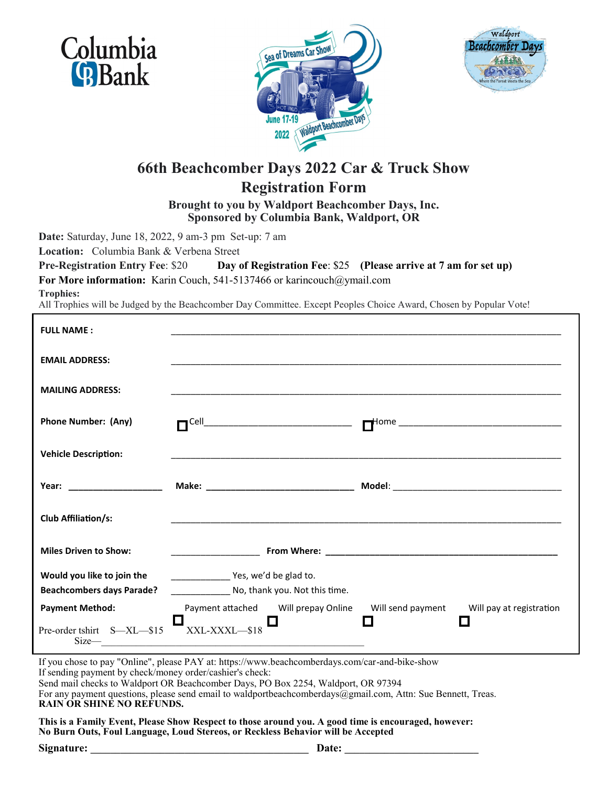





## **66th Beachcomber Days 2022 Car & Truck Show Registration Form**

**Brought to you by Waldport Beachcomber Days, Inc. Sponsored by Columbia Bank, Waldport, OR**

**Date:** Saturday, June 18, 2022, 9 am-3 pm Set-up: 7 am

**Location:** Columbia Bank & Verbena Street

**Pre-Registration Entry Fee**: \$20 **Day of Registration Fee**: \$25 **(Please arrive at 7 am for set up)** For More information: Karin Couch, 541-5137466 or karincouch@ymail.com

**Trophies:** 

All Trophies will be Judged by the Beachcomber Day Committee. Except Peoples Choice Award, Chosen by Popular Vote!

| <b>FULL NAME:</b>                |                                                                                                                     |                   |                          |
|----------------------------------|---------------------------------------------------------------------------------------------------------------------|-------------------|--------------------------|
| <b>EMAIL ADDRESS:</b>            |                                                                                                                     |                   |                          |
| <b>MAILING ADDRESS:</b>          |                                                                                                                     |                   |                          |
| <b>Phone Number: (Any)</b>       | $\neg$ Cell_                                                                                                        |                   |                          |
| <b>Vehicle Description:</b>      |                                                                                                                     |                   |                          |
| Year: _______________________    |                                                                                                                     |                   |                          |
| <b>Club Affiliation/s:</b>       | <u> 1989 - John Stone, mars et al. 1989 - Anna anno 1989 - Anna anno 1989 - Anna anno 1989 - Anna ann ann an t-</u> |                   |                          |
| <b>Miles Driven to Show:</b>     |                                                                                                                     |                   |                          |
| Would you like to join the       | Ves, we'd be glad to.                                                                                               |                   |                          |
| <b>Beachcombers days Parade?</b> | No, thank you. Not this time.                                                                                       |                   |                          |
| <b>Payment Method:</b>           | Payment attached Will prepay Online                                                                                 | Will send payment | Will pay at registration |
| Pre-order tshirt S-XL-\$15       | <br> XXL-XXXL—\$18<br>$Size$ $\qquad$                                                                               |                   |                          |

If you chose to pay "Online", please PAY at: https://www.beachcomberdays.com/car-and-bike-show If sending payment by check/money order/cashier's check: Send mail checks to Waldport OR Beachcomber Days, PO Box 2254, Waldport, OR 97394 For any payment questions, please send email to waldportbeachcomberdays@gmail.com, Attn: Sue Bennett, Treas. **RAIN OR SHINE NO REFUNDS.** 

**This is a Family Event, Please Show Respect to those around you. A good time is encouraged, however: No Burn Outs, Foul Language, Loud Stereos, or Reckless Behavior will be Accepted**

Signature: **Date:** *Date:*